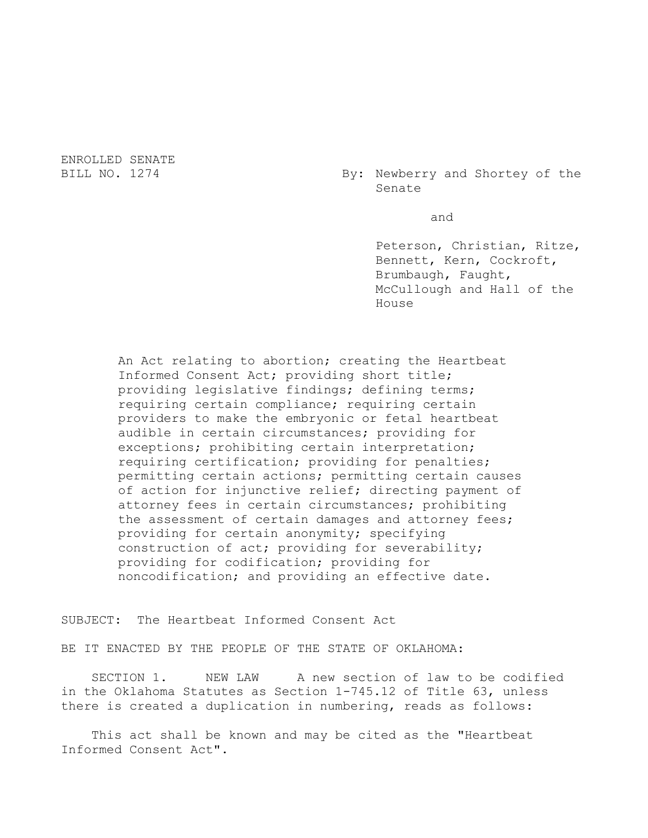ENROLLED SENATE

BILL NO. 1274 By: Newberry and Shortey of the Senate

and

Peterson, Christian, Ritze, Bennett, Kern, Cockroft, Brumbaugh, Faught, McCullough and Hall of the House

An Act relating to abortion; creating the Heartbeat Informed Consent Act; providing short title; providing legislative findings; defining terms; requiring certain compliance; requiring certain providers to make the embryonic or fetal heartbeat audible in certain circumstances; providing for exceptions; prohibiting certain interpretation; requiring certification; providing for penalties; permitting certain actions; permitting certain causes of action for injunctive relief; directing payment of attorney fees in certain circumstances; prohibiting the assessment of certain damages and attorney fees; providing for certain anonymity; specifying construction of act; providing for severability; providing for codification; providing for noncodification; and providing an effective date.

SUBJECT: The Heartbeat Informed Consent Act

BE IT ENACTED BY THE PEOPLE OF THE STATE OF OKLAHOMA:

SECTION 1. NEW LAW A new section of law to be codified in the Oklahoma Statutes as Section 1-745.12 of Title 63, unless there is created a duplication in numbering, reads as follows:

This act shall be known and may be cited as the "Heartbeat Informed Consent Act".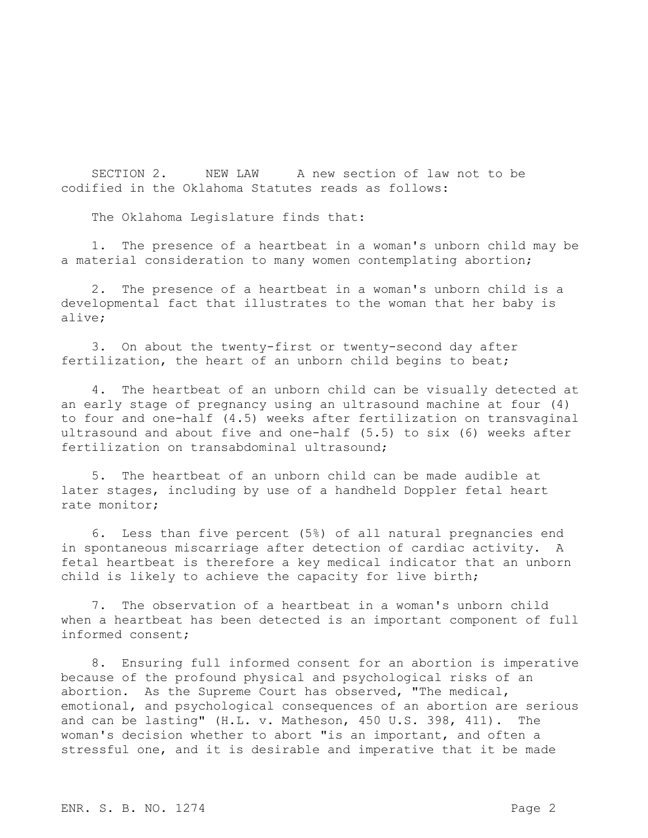SECTION 2. NEW LAW A new section of law not to be codified in the Oklahoma Statutes reads as follows:

The Oklahoma Legislature finds that:

1. The presence of a heartbeat in a woman's unborn child may be a material consideration to many women contemplating abortion;

2. The presence of a heartbeat in a woman's unborn child is a developmental fact that illustrates to the woman that her baby is alive;

3. On about the twenty-first or twenty-second day after fertilization, the heart of an unborn child begins to beat;

4. The heartbeat of an unborn child can be visually detected at an early stage of pregnancy using an ultrasound machine at four (4) to four and one-half (4.5) weeks after fertilization on transvaginal ultrasound and about five and one-half (5.5) to six (6) weeks after fertilization on transabdominal ultrasound:

5. The heartbeat of an unborn child can be made audible at later stages, including by use of a handheld Doppler fetal heart rate monitor;

6. Less than five percent (5%) of all natural pregnancies end in spontaneous miscarriage after detection of cardiac activity. A fetal heartbeat is therefore a key medical indicator that an unborn child is likely to achieve the capacity for live birth;

7. The observation of a heartbeat in a woman's unborn child when a heartbeat has been detected is an important component of full informed consent;

8. Ensuring full informed consent for an abortion is imperative because of the profound physical and psychological risks of an abortion. As the Supreme Court has observed, "The medical, emotional, and psychological consequences of an abortion are serious and can be lasting" (H.L. v. Matheson, 450 U.S. 398, 411). The woman's decision whether to abort "is an important, and often a stressful one, and it is desirable and imperative that it be made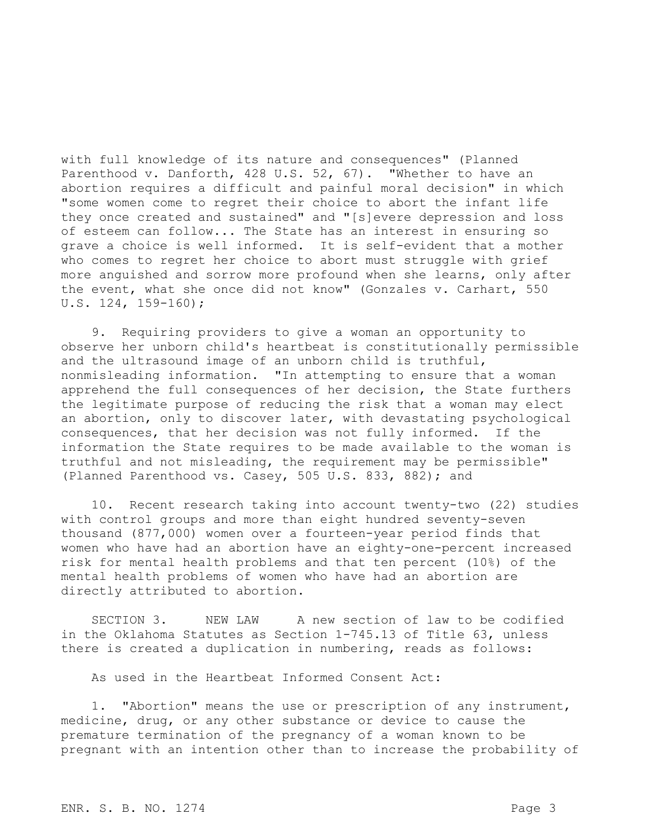with full knowledge of its nature and consequences" (Planned Parenthood v. Danforth, 428 U.S. 52, 67). "Whether to have an abortion requires a difficult and painful moral decision" in which "some women come to regret their choice to abort the infant life they once created and sustained" and "[s]evere depression and loss of esteem can follow... The State has an interest in ensuring so grave a choice is well informed. It is self-evident that a mother who comes to regret her choice to abort must struggle with grief more anguished and sorrow more profound when she learns, only after the event, what she once did not know" (Gonzales v. Carhart, 550 U.S. 124, 159-160);

9. Requiring providers to give a woman an opportunity to observe her unborn child's heartbeat is constitutionally permissible and the ultrasound image of an unborn child is truthful, nonmisleading information. "In attempting to ensure that a woman apprehend the full consequences of her decision, the State furthers the legitimate purpose of reducing the risk that a woman may elect an abortion, only to discover later, with devastating psychological consequences, that her decision was not fully informed. If the information the State requires to be made available to the woman is truthful and not misleading, the requirement may be permissible" (Planned Parenthood vs. Casey, 505 U.S. 833, 882); and

10. Recent research taking into account twenty-two (22) studies with control groups and more than eight hundred seventy-seven thousand (877,000) women over a fourteen-year period finds that women who have had an abortion have an eighty-one-percent increased risk for mental health problems and that ten percent (10%) of the mental health problems of women who have had an abortion are directly attributed to abortion.

SECTION 3. NEW LAW A new section of law to be codified in the Oklahoma Statutes as Section 1-745.13 of Title 63, unless there is created a duplication in numbering, reads as follows:

As used in the Heartbeat Informed Consent Act:

1. "Abortion" means the use or prescription of any instrument, medicine, drug, or any other substance or device to cause the premature termination of the pregnancy of a woman known to be pregnant with an intention other than to increase the probability of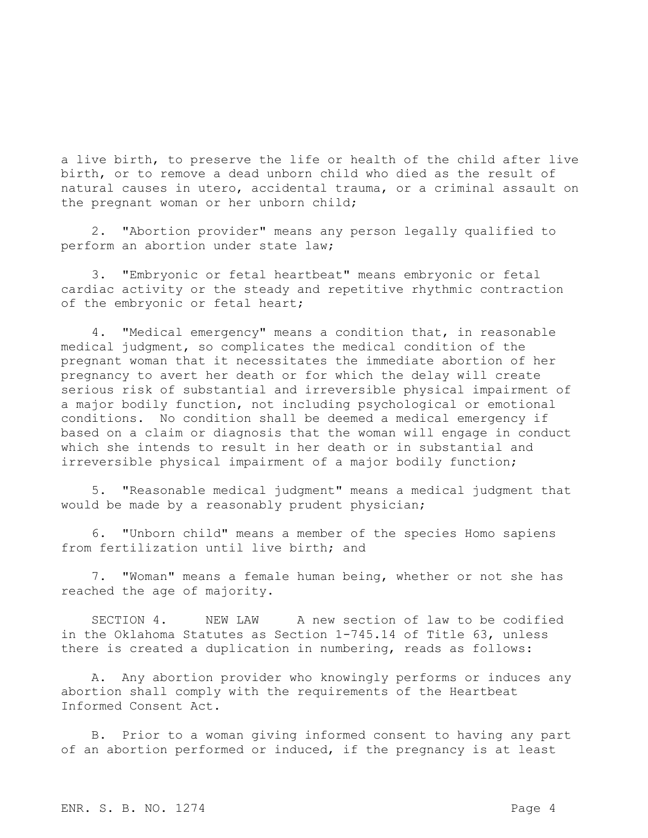a live birth, to preserve the life or health of the child after live birth, or to remove a dead unborn child who died as the result of natural causes in utero, accidental trauma, or a criminal assault on the pregnant woman or her unborn child;

2. "Abortion provider" means any person legally qualified to perform an abortion under state law;

3. "Embryonic or fetal heartbeat" means embryonic or fetal cardiac activity or the steady and repetitive rhythmic contraction of the embryonic or fetal heart;

4. "Medical emergency" means a condition that, in reasonable medical judgment, so complicates the medical condition of the pregnant woman that it necessitates the immediate abortion of her pregnancy to avert her death or for which the delay will create serious risk of substantial and irreversible physical impairment of a major bodily function, not including psychological or emotional conditions. No condition shall be deemed a medical emergency if based on a claim or diagnosis that the woman will engage in conduct which she intends to result in her death or in substantial and irreversible physical impairment of a major bodily function;

5. "Reasonable medical judgment" means a medical judgment that would be made by a reasonably prudent physician;

6. "Unborn child" means a member of the species Homo sapiens from fertilization until live birth; and

7. "Woman" means a female human being, whether or not she has reached the age of majority.

SECTION 4. NEW LAW A new section of law to be codified in the Oklahoma Statutes as Section 1-745.14 of Title 63, unless there is created a duplication in numbering, reads as follows:

A. Any abortion provider who knowingly performs or induces any abortion shall comply with the requirements of the Heartbeat Informed Consent Act.

B. Prior to a woman giving informed consent to having any part of an abortion performed or induced, if the pregnancy is at least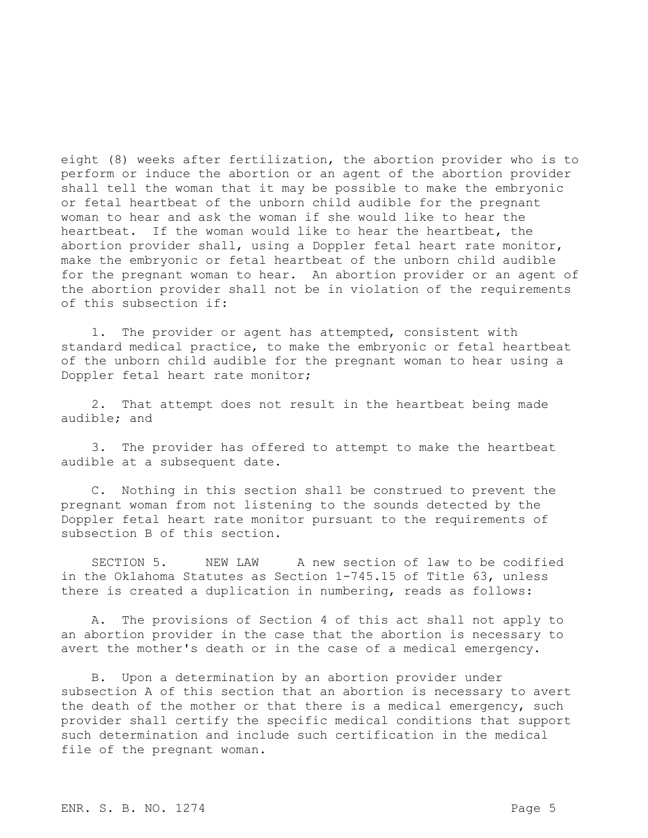eight (8) weeks after fertilization, the abortion provider who is to perform or induce the abortion or an agent of the abortion provider shall tell the woman that it may be possible to make the embryonic or fetal heartbeat of the unborn child audible for the pregnant woman to hear and ask the woman if she would like to hear the heartbeat. If the woman would like to hear the heartbeat, the abortion provider shall, using a Doppler fetal heart rate monitor, make the embryonic or fetal heartbeat of the unborn child audible for the pregnant woman to hear. An abortion provider or an agent of the abortion provider shall not be in violation of the requirements of this subsection if:

1. The provider or agent has attempted, consistent with standard medical practice, to make the embryonic or fetal heartbeat of the unborn child audible for the pregnant woman to hear using a Doppler fetal heart rate monitor;

2. That attempt does not result in the heartbeat being made audible; and

3. The provider has offered to attempt to make the heartbeat audible at a subsequent date.

C. Nothing in this section shall be construed to prevent the pregnant woman from not listening to the sounds detected by the Doppler fetal heart rate monitor pursuant to the requirements of subsection B of this section.

SECTION 5. NEW LAW A new section of law to be codified in the Oklahoma Statutes as Section 1-745.15 of Title 63, unless there is created a duplication in numbering, reads as follows:

A. The provisions of Section 4 of this act shall not apply to an abortion provider in the case that the abortion is necessary to avert the mother's death or in the case of a medical emergency.

B. Upon a determination by an abortion provider under subsection A of this section that an abortion is necessary to avert the death of the mother or that there is a medical emergency, such provider shall certify the specific medical conditions that support such determination and include such certification in the medical file of the pregnant woman.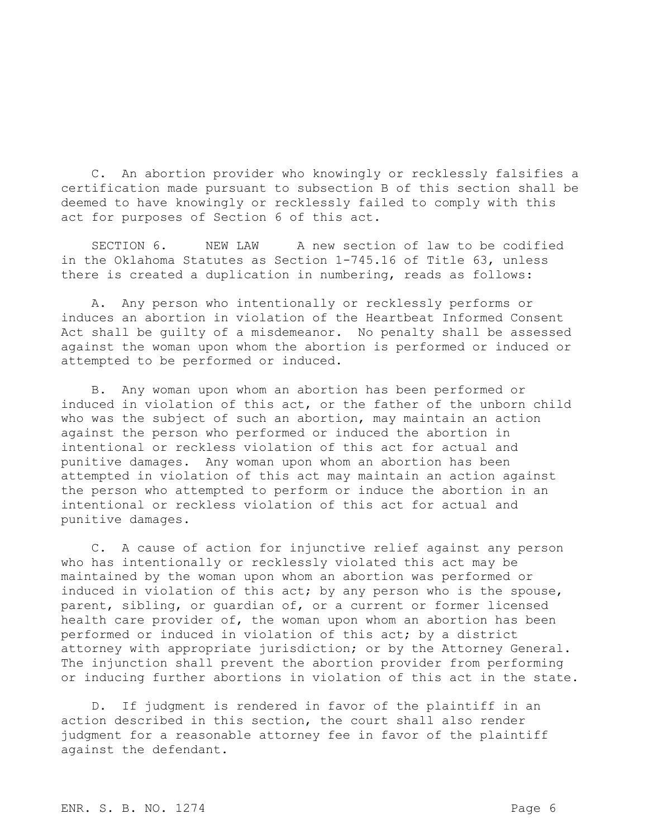C. An abortion provider who knowingly or recklessly falsifies a certification made pursuant to subsection B of this section shall be deemed to have knowingly or recklessly failed to comply with this act for purposes of Section 6 of this act.

SECTION 6. NEW LAW A new section of law to be codified in the Oklahoma Statutes as Section 1-745.16 of Title 63, unless there is created a duplication in numbering, reads as follows:

A. Any person who intentionally or recklessly performs or induces an abortion in violation of the Heartbeat Informed Consent Act shall be guilty of a misdemeanor. No penalty shall be assessed against the woman upon whom the abortion is performed or induced or attempted to be performed or induced.

B. Any woman upon whom an abortion has been performed or induced in violation of this act, or the father of the unborn child who was the subject of such an abortion, may maintain an action against the person who performed or induced the abortion in intentional or reckless violation of this act for actual and punitive damages. Any woman upon whom an abortion has been attempted in violation of this act may maintain an action against the person who attempted to perform or induce the abortion in an intentional or reckless violation of this act for actual and punitive damages.

C. A cause of action for injunctive relief against any person who has intentionally or recklessly violated this act may be maintained by the woman upon whom an abortion was performed or induced in violation of this act; by any person who is the spouse, parent, sibling, or guardian of, or a current or former licensed health care provider of, the woman upon whom an abortion has been performed or induced in violation of this act; by a district attorney with appropriate jurisdiction; or by the Attorney General. The injunction shall prevent the abortion provider from performing or inducing further abortions in violation of this act in the state.

D. If judgment is rendered in favor of the plaintiff in an action described in this section, the court shall also render judgment for a reasonable attorney fee in favor of the plaintiff against the defendant.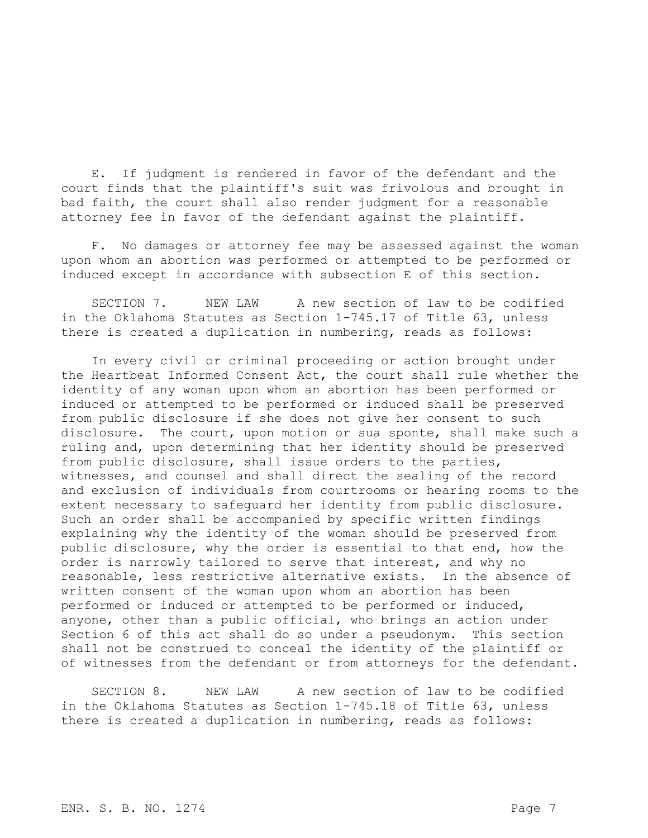E. If judgment is rendered in favor of the defendant and the court finds that the plaintiff's suit was frivolous and brought in bad faith, the court shall also render judgment for a reasonable attorney fee in favor of the defendant against the plaintiff.

F. No damages or attorney fee may be assessed against the woman upon whom an abortion was performed or attempted to be performed or induced except in accordance with subsection E of this section.

SECTION 7. NEW LAW A new section of law to be codified in the Oklahoma Statutes as Section 1-745.17 of Title 63, unless there is created a duplication in numbering, reads as follows:

In every civil or criminal proceeding or action brought under the Heartbeat Informed Consent Act, the court shall rule whether the identity of any woman upon whom an abortion has been performed or induced or attempted to be performed or induced shall be preserved from public disclosure if she does not give her consent to such disclosure. The court, upon motion or sua sponte, shall make such a ruling and, upon determining that her identity should be preserved from public disclosure, shall issue orders to the parties, witnesses, and counsel and shall direct the sealing of the record and exclusion of individuals from courtrooms or hearing rooms to the extent necessary to safeguard her identity from public disclosure. Such an order shall be accompanied by specific written findings explaining why the identity of the woman should be preserved from public disclosure, why the order is essential to that end, how the order is narrowly tailored to serve that interest, and why no reasonable, less restrictive alternative exists. In the absence of written consent of the woman upon whom an abortion has been performed or induced or attempted to be performed or induced, anyone, other than a public official, who brings an action under Section 6 of this act shall do so under a pseudonym. This section shall not be construed to conceal the identity of the plaintiff or of witnesses from the defendant or from attorneys for the defendant.

SECTION 8. NEW LAW A new section of law to be codified in the Oklahoma Statutes as Section 1-745.18 of Title 63, unless there is created a duplication in numbering, reads as follows: